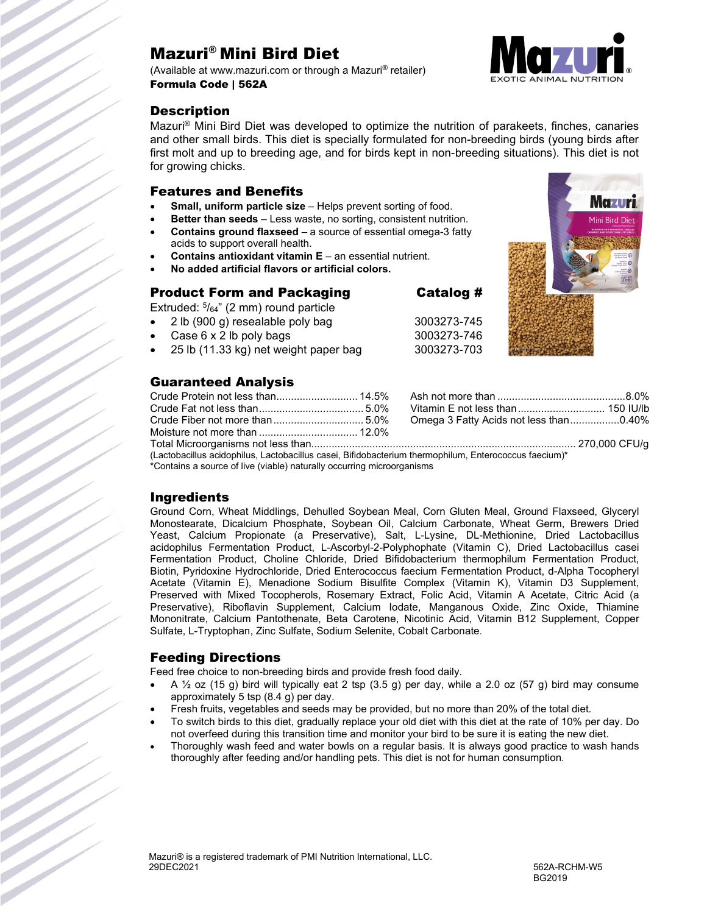# Mazuri® Mini Bird Diet

(Available at www.mazuri.com or through a Mazuri® retailer) Formula Code | 562A

#### **Description**



**Mazur** 

Mazuri® Mini Bird Diet was developed to optimize the nutrition of parakeets, finches, canaries and other small birds. This diet is specially formulated for non-breeding birds (young birds after first molt and up to breeding age, and for birds kept in non-breeding situations). This diet is not for growing chicks.

#### Features and Benefits

- **Small, uniform particle size** Helps prevent sorting of food.
- **Better than seeds** Less waste, no sorting, consistent nutrition.
- **Contains ground flaxseed** a source of essential omega-3 fatty acids to support overall health.
- **Contains antioxidant vitamin E** an essential nutrient.
- **No added artificial flavors or artificial colors.**

#### Product Form and Packaging Catalog #

Extruded: 5/64" (2 mm) round particle

- 2 lb (900 g) resealable poly bag 3003273-745
- Case 6 x 2 lb poly bags 3003273-746
- 25 lb (11.33 kg) net weight paper bag 3003273-703

### Guaranteed Analysis

|                                                                                                    |  | Omega 3 Fatty Acids not less than0.40% |  |  |  |
|----------------------------------------------------------------------------------------------------|--|----------------------------------------|--|--|--|
|                                                                                                    |  |                                        |  |  |  |
|                                                                                                    |  |                                        |  |  |  |
| $\mu$ octobroilly a sideptive Leatebooilly consi Difideboaterium thermophily Enterpresent foodum)* |  |                                        |  |  |  |

(Lactobacillus acidophilus, Lactobacillus casei, Bifidobacterium thermophilum, Enterococcus faecium)\*

\*Contains a source of live (viable) naturally occurring microorganisms

### **Ingredients**

Ground Corn, Wheat Middlings, Dehulled Soybean Meal, Corn Gluten Meal, Ground Flaxseed, Glyceryl Monostearate, Dicalcium Phosphate, Soybean Oil, Calcium Carbonate, Wheat Germ, Brewers Dried Yeast, Calcium Propionate (a Preservative), Salt, L-Lysine, DL-Methionine, Dried Lactobacillus acidophilus Fermentation Product, L-Ascorbyl-2-Polyphophate (Vitamin C), Dried Lactobacillus casei Fermentation Product, Choline Chloride, Dried Bifidobacterium thermophilum Fermentation Product, Biotin, Pyridoxine Hydrochloride, Dried Enterococcus faecium Fermentation Product, d-Alpha Tocopheryl Acetate (Vitamin E), Menadione Sodium Bisulfite Complex (Vitamin K), Vitamin D3 Supplement, Preserved with Mixed Tocopherols, Rosemary Extract, Folic Acid, Vitamin A Acetate, Citric Acid (a Preservative), Riboflavin Supplement, Calcium Iodate, Manganous Oxide, Zinc Oxide, Thiamine Mononitrate, Calcium Pantothenate, Beta Carotene, Nicotinic Acid, Vitamin B12 Supplement, Copper Sulfate, L-Tryptophan, Zinc Sulfate, Sodium Selenite, Cobalt Carbonate.

### Feeding Directions

Feed free choice to non-breeding birds and provide fresh food daily.

- A  $\frac{1}{2}$  oz (15 g) bird will typically eat 2 tsp (3.5 g) per day, while a 2.0 oz (57 g) bird may consume approximately 5 tsp (8.4 g) per day.
- Fresh fruits, vegetables and seeds may be provided, but no more than 20% of the total diet.
- To switch birds to this diet, gradually replace your old diet with this diet at the rate of 10% per day. Do not overfeed during this transition time and monitor your bird to be sure it is eating the new diet.
- Thoroughly wash feed and water bowls on a regular basis. It is always good practice to wash hands thoroughly after feeding and/or handling pets. This diet is not for human consumption.